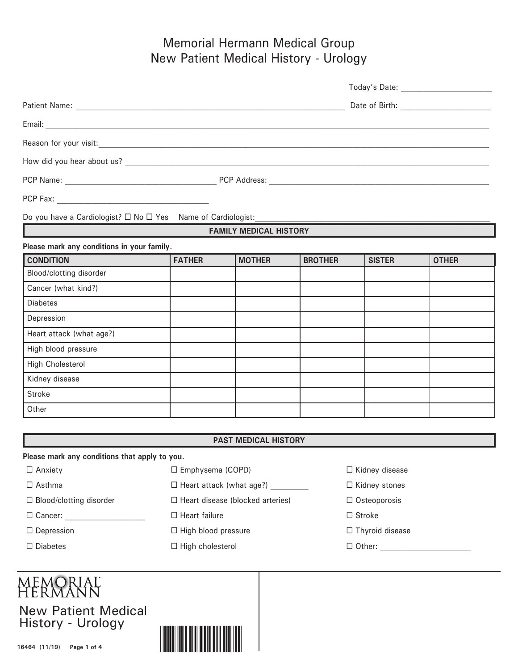## Memorial Hermann Medical Group New Patient Medical History - Urology

| Do you have a Cardiologist? $\Box$ No $\Box$ Yes Name of Cardiologist: |               |                               |                |               |              |  |
|------------------------------------------------------------------------|---------------|-------------------------------|----------------|---------------|--------------|--|
|                                                                        |               | <b>FAMILY MEDICAL HISTORY</b> |                |               |              |  |
| Please mark any conditions in your family.                             |               |                               |                |               |              |  |
| <b>CONDITION</b>                                                       | <b>FATHER</b> | <b>MOTHER</b>                 | <b>BROTHER</b> | <b>SISTER</b> | <b>OTHER</b> |  |
| Blood/clotting disorder                                                |               |                               |                |               |              |  |
| Cancer (what kind?)                                                    |               |                               |                |               |              |  |
| <b>Diabetes</b>                                                        |               |                               |                |               |              |  |
| Depression                                                             |               |                               |                |               |              |  |
| Heart attack (what age?)                                               |               |                               |                |               |              |  |
| High blood pressure                                                    |               |                               |                |               |              |  |
| <b>High Cholesterol</b>                                                |               |                               |                |               |              |  |
| Kidney disease                                                         |               |                               |                |               |              |  |
| <b>Stroke</b>                                                          |               |                               |                |               |              |  |
| Other                                                                  |               |                               |                |               |              |  |

#### **PAST MEDICAL HISTORY**

**Please mark any conditions that apply to you.**

 $\Box$  Asthma  $\Box$  Heart attack (what age?)  $\Box$  Kidney stones

 $\Box$  Blood/clotting disorder  $\Box$  Heart disease (blocked arteries)  $\Box$  Osteoporosis

 $\square$  Cancer:  $\square$  Heart failure  $\square$  Stroke

 $\Box$  Diabetes  $\Box$  High cholesterol  $\Box$  Other:

MEMORIAL<br>HERMANN

New Patient Medical History - Urology



Anxiety Emphysema (COPD) Kidney disease

 $\Box$  Depression  $\Box$  High blood pressure  $\Box$  Thyroid disease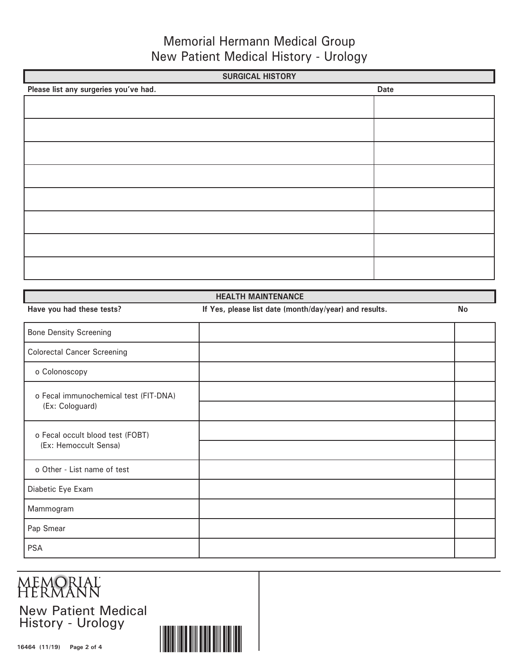## Memorial Hermann Medical Group New Patient Medical History - Urology

| <b>SURGICAL HISTORY</b>               |      |  |  |  |
|---------------------------------------|------|--|--|--|
| Please list any surgeries you've had. | Date |  |  |  |
|                                       |      |  |  |  |
|                                       |      |  |  |  |
|                                       |      |  |  |  |
|                                       |      |  |  |  |
|                                       |      |  |  |  |
|                                       |      |  |  |  |
|                                       |      |  |  |  |
|                                       |      |  |  |  |
|                                       |      |  |  |  |
|                                       |      |  |  |  |
|                                       |      |  |  |  |
|                                       |      |  |  |  |
|                                       |      |  |  |  |
|                                       |      |  |  |  |

| <b>HEALTH MAINTENANCE</b>             |                                                        |           |  |  |
|---------------------------------------|--------------------------------------------------------|-----------|--|--|
| Have you had these tests?             | If Yes, please list date (month/day/year) and results. | <b>No</b> |  |  |
| <b>Bone Density Screening</b>         |                                                        |           |  |  |
| <b>Colorectal Cancer Screening</b>    |                                                        |           |  |  |
| o Colonoscopy                         |                                                        |           |  |  |
| o Fecal immunochemical test (FIT-DNA) |                                                        |           |  |  |
| (Ex: Cologuard)                       |                                                        |           |  |  |
| o Fecal occult blood test (FOBT)      |                                                        |           |  |  |
| (Ex: Hemoccult Sensa)                 |                                                        |           |  |  |
| o Other - List name of test           |                                                        |           |  |  |
| Diabetic Eye Exam                     |                                                        |           |  |  |
| Mammogram                             |                                                        |           |  |  |
| Pap Smear                             |                                                        |           |  |  |
| <b>PSA</b>                            |                                                        |           |  |  |

# **MEMORIAL**<br>HERMANN New Patient Medical History - Urology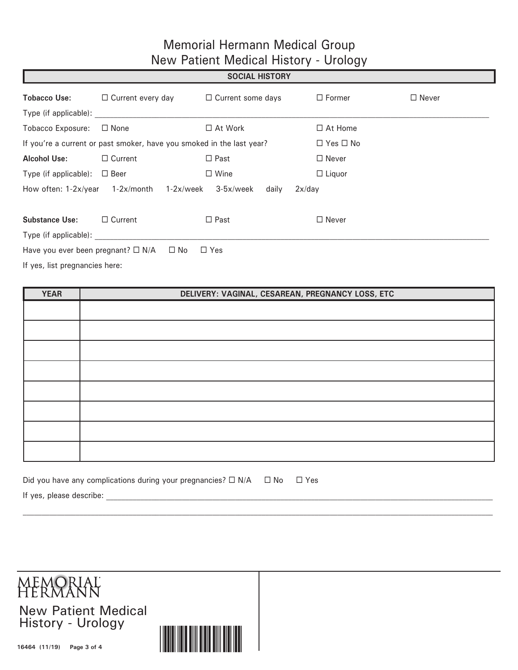## Memorial Hermann Medical Group New Patient Medical History - Urology

|                                                                                          |                                                                       | <b>SOCIAL HISTORY</b>           |                      |              |
|------------------------------------------------------------------------------------------|-----------------------------------------------------------------------|---------------------------------|----------------------|--------------|
| <b>Tobacco Use:</b>                                                                      | $\Box$ Current every day                                              | $\Box$ Current some days        | $\Box$ Former        | $\Box$ Never |
| Type (if applicable):                                                                    |                                                                       |                                 |                      |              |
| <b>Tobacco Exposure:</b>                                                                 | $\Box$ None                                                           | $\Box$ At Work                  | $\Box$ At Home       |              |
|                                                                                          | If you're a current or past smoker, have you smoked in the last year? |                                 | $\Box$ Yes $\Box$ No |              |
| <b>Alcohol Use:</b>                                                                      | $\Box$ Current                                                        | $\Box$ Past                     | $\Box$ Never         |              |
| Type (if applicable): $\Box$ Beer                                                        |                                                                       | $\Box$ Wine                     | $\Box$ Liquor        |              |
| How often: 1-2x/year                                                                     | 1-2x/month<br>$1-2x/$ week                                            | $3-5x/$ week<br>2x/day<br>daily |                      |              |
| <b>Substance Use:</b>                                                                    | $\Box$ Current                                                        | $\Box$ Past                     | $\Box$ Never         |              |
| Type (if applicable):                                                                    |                                                                       |                                 |                      |              |
|                                                                                          | Have you ever been pregnant? $\Box$ N/A $\Box$ No                     | $\Box$ Yes                      |                      |              |
| $\mathbf{r}$ , and $\mathbf{r}$ , and $\mathbf{r}$ , and $\mathbf{r}$ , and $\mathbf{r}$ |                                                                       |                                 |                      |              |

If yes, list pregnancies here:

| <b>YEAR</b> | DELIVERY: VAGINAL, CESAREAN, PREGNANCY LOSS, ETC |
|-------------|--------------------------------------------------|
|             |                                                  |
|             |                                                  |
|             |                                                  |
|             |                                                  |
|             |                                                  |
|             |                                                  |
|             |                                                  |
|             |                                                  |
|             |                                                  |

 $\mathcal{L}_\text{max} = \mathcal{L}_\text{max} = \mathcal{L}_\text{max} = \mathcal{L}_\text{max} = \mathcal{L}_\text{max} = \mathcal{L}_\text{max} = \mathcal{L}_\text{max} = \mathcal{L}_\text{max} = \mathcal{L}_\text{max} = \mathcal{L}_\text{max} = \mathcal{L}_\text{max} = \mathcal{L}_\text{max} = \mathcal{L}_\text{max} = \mathcal{L}_\text{max} = \mathcal{L}_\text{max} = \mathcal{L}_\text{max} = \mathcal{L}_\text{max} = \mathcal{L}_\text{max} = \mathcal{$ 

| Did you have any complications during your pregnancies? $\square$ N/A $\square$ No $\square$ Yes |  |  |  |
|--------------------------------------------------------------------------------------------------|--|--|--|
|                                                                                                  |  |  |  |

If yes, please describe: